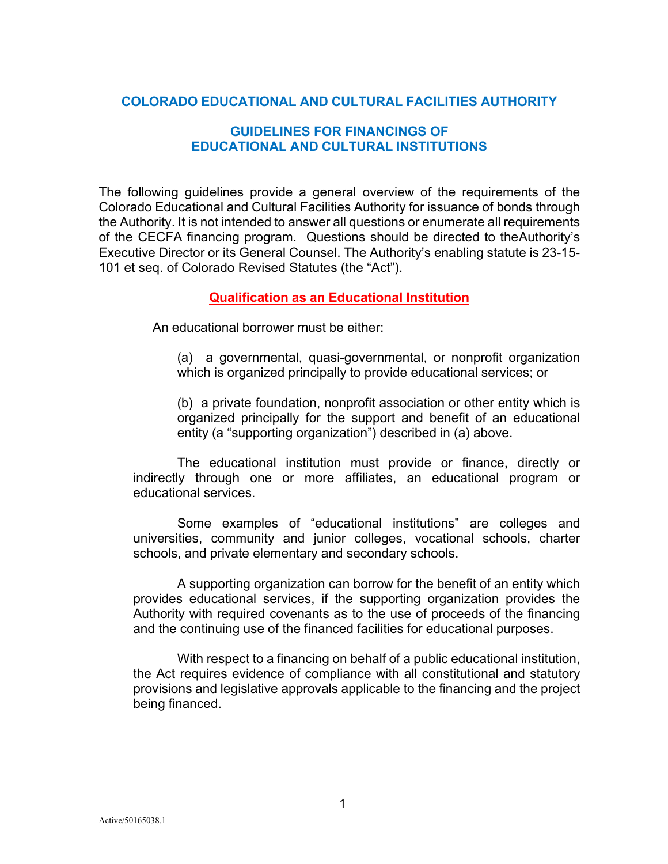## **COLORADO EDUCATIONAL AND CULTURAL FACILITIES AUTHORITY**

### **GUIDELINES FOR FINANCINGS OF EDUCATIONAL AND CULTURAL INSTITUTIONS**

The following guidelines provide a general overview of the requirements of the Colorado Educational and Cultural Facilities Authority for issuance of bonds through the Authority. It is not intended to answer all questions or enumerate all requirements of the CECFA financing program. Questions should be directed to theAuthority's Executive Director or its General Counsel. The Authority's enabling statute is 23-15- 101 et seq. of Colorado Revised Statutes (the "Act").

#### **Qualification as an Educational Institution**

An educational borrower must be either:

(a) a governmental, quasi-governmental, or nonprofit organization which is organized principally to provide educational services; or

(b) a private foundation, nonprofit association or other entity which is organized principally for the support and benefit of an educational entity (a "supporting organization") described in (a) above.

The educational institution must provide or finance, directly or indirectly through one or more affiliates, an educational program or educational services.

Some examples of "educational institutions" are colleges and universities, community and junior colleges, vocational schools, charter schools, and private elementary and secondary schools.

A supporting organization can borrow for the benefit of an entity which provides educational services, if the supporting organization provides the Authority with required covenants as to the use of proceeds of the financing and the continuing use of the financed facilities for educational purposes.

With respect to a financing on behalf of a public educational institution, the Act requires evidence of compliance with all constitutional and statutory provisions and legislative approvals applicable to the financing and the project being financed.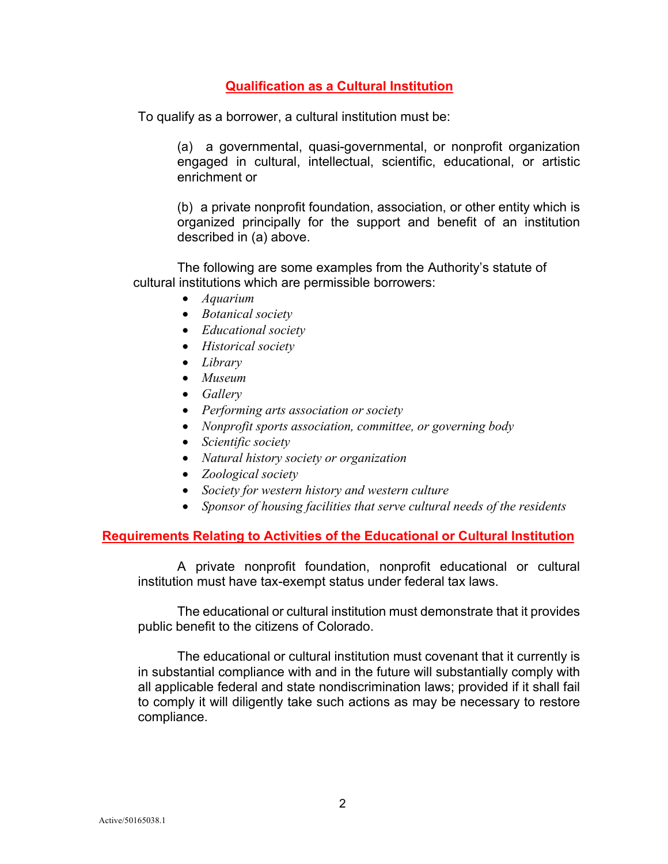# **Qualification as a Cultural Institution**

To qualify as a borrower, a cultural institution must be:

(a) a governmental, quasi-governmental, or nonprofit organization engaged in cultural, intellectual, scientific, educational, or artistic enrichment or

(b) a private nonprofit foundation, association, or other entity which is organized principally for the support and benefit of an institution described in (a) above.

The following are some examples from the Authority's statute of cultural institutions which are permissible borrowers:

- *Aquarium*
- *Botanical society*
- *Educational society*
- *Historical society*
- *Library*
- *Museum*
- *Gallery*
- *Performing arts association or society*
- *Nonprofit sports association, committee, or governing body*
- *Scientific society*
- *Natural history society or organization*
- *Zoological society*
- *Society for western history and western culture*
- *Sponsor of housing facilities that serve cultural needs of the residents*

### **Requirements Relating to Activities of the Educational or Cultural Institution**

A private nonprofit foundation, nonprofit educational or cultural institution must have tax-exempt status under federal tax laws.

The educational or cultural institution must demonstrate that it provides public benefit to the citizens of Colorado.

The educational or cultural institution must covenant that it currently is in substantial compliance with and in the future will substantially comply with all applicable federal and state nondiscrimination laws; provided if it shall fail to comply it will diligently take such actions as may be necessary to restore compliance.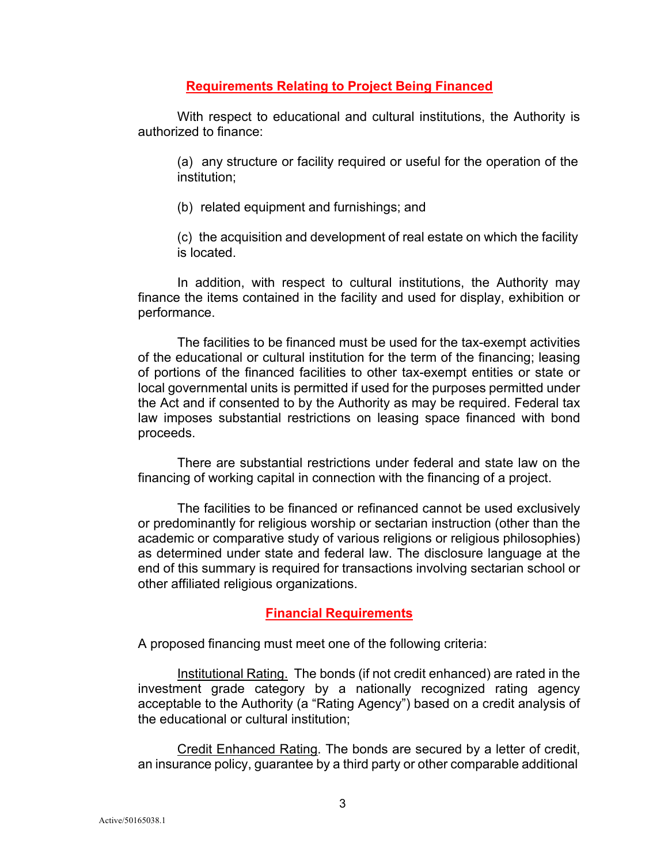**Requirements Relating to Project Being Financed**

With respect to educational and cultural institutions, the Authority is authorized to finance:

(a) any structure or facility required or useful for the operation of the institution;

(b) related equipment and furnishings; and

(c) the acquisition and development of real estate on which the facility is located.

In addition, with respect to cultural institutions, the Authority may finance the items contained in the facility and used for display, exhibition or performance.

The facilities to be financed must be used for the tax-exempt activities of the educational or cultural institution for the term of the financing; leasing of portions of the financed facilities to other tax-exempt entities or state or local governmental units is permitted if used for the purposes permitted under the Act and if consented to by the Authority as may be required. Federal tax law imposes substantial restrictions on leasing space financed with bond proceeds.

There are substantial restrictions under federal and state law on the financing of working capital in connection with the financing of a project.

The facilities to be financed or refinanced cannot be used exclusively or predominantly for religious worship or sectarian instruction (other than the academic or comparative study of various religions or religious philosophies) as determined under state and federal law. The disclosure language at the end of this summary is required for transactions involving sectarian school or other affiliated religious organizations.

## **Financial Requirements**

A proposed financing must meet one of the following criteria:

Institutional Rating. The bonds (if not credit enhanced) are rated in the investment grade category by a nationally recognized rating agency acceptable to the Authority (a "Rating Agency") based on a credit analysis of the educational or cultural institution;

Credit Enhanced Rating. The bonds are secured by a letter of credit, an insurance policy, guarantee by a third party or other comparable additional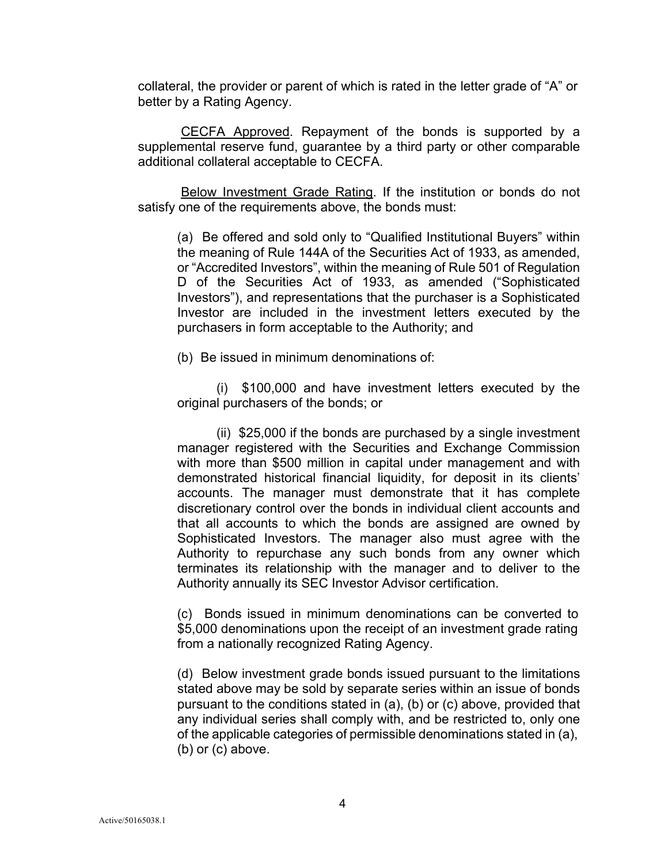collateral, the provider or parent of which is rated in the letter grade of "A" or better by a Rating Agency.

CECFA Approved. Repayment of the bonds is supported by a supplemental reserve fund, guarantee by a third party or other comparable additional collateral acceptable to CECFA.

Below Investment Grade Rating. If the institution or bonds do not satisfy one of the requirements above, the bonds must:

(a) Be offered and sold only to "Qualified Institutional Buyers" within the meaning of Rule 144A of the Securities Act of 1933, as amended, or "Accredited Investors", within the meaning of Rule 501 of Regulation D of the Securities Act of 1933, as amended ("Sophisticated Investors"), and representations that the purchaser is a Sophisticated Investor are included in the investment letters executed by the purchasers in form acceptable to the Authority; and

(b) Be issued in minimum denominations of:

(i) \$100,000 and have investment letters executed by the original purchasers of the bonds; or

(ii) \$25,000 if the bonds are purchased by a single investment manager registered with the Securities and Exchange Commission with more than \$500 million in capital under management and with demonstrated historical financial liquidity, for deposit in its clients' accounts. The manager must demonstrate that it has complete discretionary control over the bonds in individual client accounts and that all accounts to which the bonds are assigned are owned by Sophisticated Investors. The manager also must agree with the Authority to repurchase any such bonds from any owner which terminates its relationship with the manager and to deliver to the Authority annually its SEC Investor Advisor certification.

(c) Bonds issued in minimum denominations can be converted to \$5,000 denominations upon the receipt of an investment grade rating from a nationally recognized Rating Agency.

(d) Below investment grade bonds issued pursuant to the limitations stated above may be sold by separate series within an issue of bonds pursuant to the conditions stated in (a), (b) or (c) above, provided that any individual series shall comply with, and be restricted to, only one of the applicable categories of permissible denominations stated in (a), (b) or (c) above.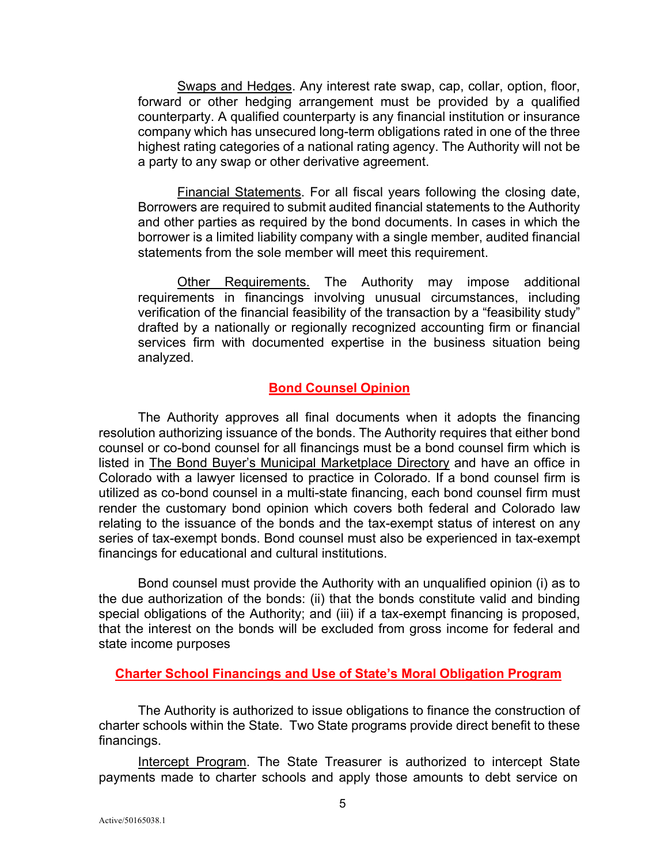Swaps and Hedges. Any interest rate swap, cap, collar, option, floor, forward or other hedging arrangement must be provided by a qualified counterparty. A qualified counterparty is any financial institution or insurance company which has unsecured long-term obligations rated in one of the three highest rating categories of a national rating agency. The Authority will not be a party to any swap or other derivative agreement.

Financial Statements. For all fiscal years following the closing date, Borrowers are required to submit audited financial statements to the Authority and other parties as required by the bond documents. In cases in which the borrower is a limited liability company with a single member, audited financial statements from the sole member will meet this requirement.

**Other Requirements.** The Authority may impose additional requirements in financings involving unusual circumstances, including verification of the financial feasibility of the transaction by a "feasibility study" drafted by a nationally or regionally recognized accounting firm or financial services firm with documented expertise in the business situation being analyzed.

### **Bond Counsel Opinion**

The Authority approves all final documents when it adopts the financing resolution authorizing issuance of the bonds. The Authority requires that either bond counsel or co-bond counsel for all financings must be a bond counsel firm which is listed in The Bond Buyer's Municipal Marketplace Directory and have an office in Colorado with a lawyer licensed to practice in Colorado. If a bond counsel firm is utilized as co-bond counsel in a multi-state financing, each bond counsel firm must render the customary bond opinion which covers both federal and Colorado law relating to the issuance of the bonds and the tax-exempt status of interest on any series of tax-exempt bonds. Bond counsel must also be experienced in tax-exempt financings for educational and cultural institutions.

Bond counsel must provide the Authority with an unqualified opinion (i) as to the due authorization of the bonds: (ii) that the bonds constitute valid and binding special obligations of the Authority; and (iii) if a tax-exempt financing is proposed, that the interest on the bonds will be excluded from gross income for federal and state income purposes

### **Charter School Financings and Use of State's Moral Obligation Program**

The Authority is authorized to issue obligations to finance the construction of charter schools within the State. Two State programs provide direct benefit to these financings.

Intercept Program. The State Treasurer is authorized to intercept State payments made to charter schools and apply those amounts to debt service on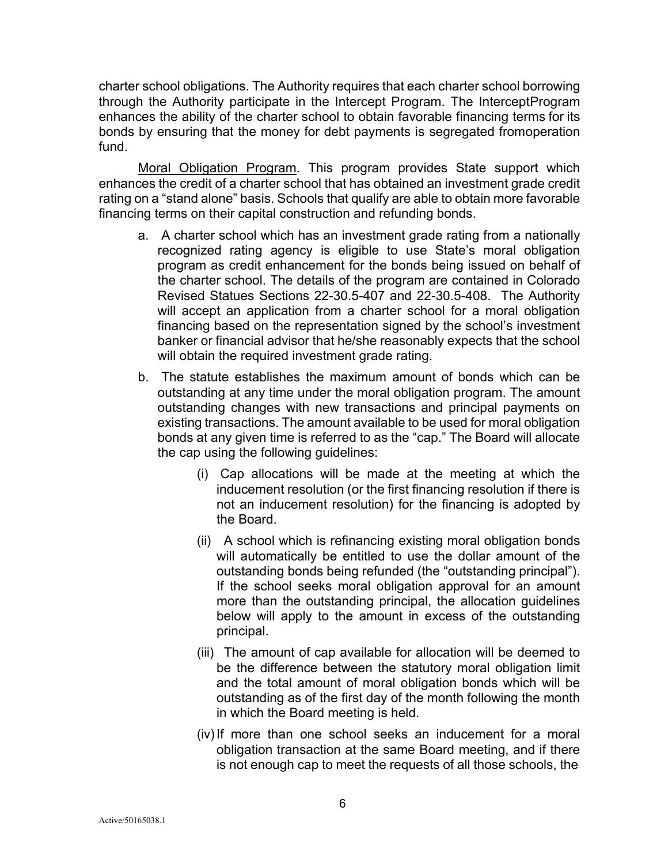charter school obligations. The Authority requires that each charter school borrowing through the Authority participate in the Intercept Program. The InterceptProgram enhances the ability of the charter school to obtain favorable financing terms for its bonds by ensuring that the money for debt payments is segregated fromoperation fund.

Moral Obligation Program. This program provides State support which enhances the credit of a charter school that has obtained an investment grade credit rating on a "stand alone" basis. Schools that qualify are able to obtain more favorable financing terms on their capital construction and refunding bonds.

- a. A charter school which has an investment grade rating from a nationally recognized rating agency is eligible to use State's moral obligation program as credit enhancement for the bonds being issued on behalf of the charter school. The details of the program are contained in Colorado Revised Statues Sections 22-30.5-407 and 22-30.5-408. The Authority will accept an application from a charter school for a moral obligation financing based on the representation signed by the school's investment banker or financial advisor that he/she reasonably expects that the school will obtain the required investment grade rating.
- b. The statute establishes the maximum amount of bonds which can be outstanding at any time under the moral obligation program. The amount outstanding changes with new transactions and principal payments on existing transactions. The amount available to be used for moral obligation bonds at any given time is referred to as the "cap." The Board will allocate the cap using the following guidelines:
	- (i) Cap allocations will be made at the meeting at which the inducement resolution (or the first financing resolution if there is not an inducement resolution) for the financing is adopted by the Board.
	- (ii) A school which is refinancing existing moral obligation bonds will automatically be entitled to use the dollar amount of the outstanding bonds being refunded (the "outstanding principal"). If the school seeks moral obligation approval for an amount more than the outstanding principal, the allocation guidelines below will apply to the amount in excess of the outstanding principal.
	- (iii) The amount of cap available for allocation will be deemed to be the difference between the statutory moral obligation limit and the total amount of moral obligation bonds which will be outstanding as of the first day of the month following the month in which the Board meeting is held.
	- (iv)If more than one school seeks an inducement for a moral obligation transaction at the same Board meeting, and if there is not enough cap to meet the requests of all those schools, the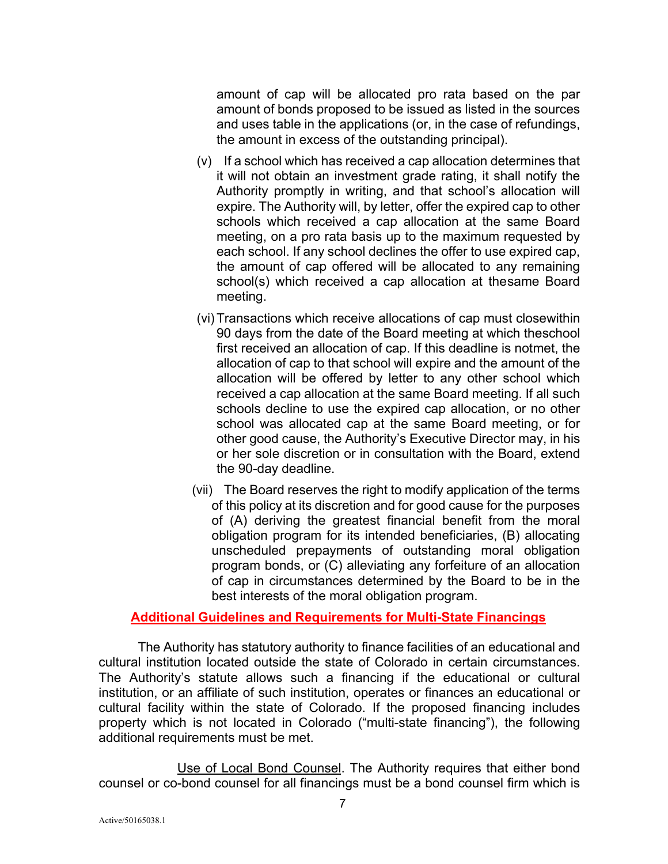amount of cap will be allocated pro rata based on the par amount of bonds proposed to be issued as listed in the sources and uses table in the applications (or, in the case of refundings, the amount in excess of the outstanding principal).

- (v) If a school which has received a cap allocation determines that it will not obtain an investment grade rating, it shall notify the Authority promptly in writing, and that school's allocation will expire. The Authority will, by letter, offer the expired cap to other schools which received a cap allocation at the same Board meeting, on a pro rata basis up to the maximum requested by each school. If any school declines the offer to use expired cap, the amount of cap offered will be allocated to any remaining school(s) which received a cap allocation at thesame Board meeting.
- (vi) Transactions which receive allocations of cap must closewithin 90 days from the date of the Board meeting at which theschool first received an allocation of cap. If this deadline is notmet, the allocation of cap to that school will expire and the amount of the allocation will be offered by letter to any other school which received a cap allocation at the same Board meeting. If all such schools decline to use the expired cap allocation, or no other school was allocated cap at the same Board meeting, or for other good cause, the Authority's Executive Director may, in his or her sole discretion or in consultation with the Board, extend the 90-day deadline.
- (vii) The Board reserves the right to modify application of the terms of this policy at its discretion and for good cause for the purposes of (A) deriving the greatest financial benefit from the moral obligation program for its intended beneficiaries, (B) allocating unscheduled prepayments of outstanding moral obligation program bonds, or (C) alleviating any forfeiture of an allocation of cap in circumstances determined by the Board to be in the best interests of the moral obligation program.

### **Additional Guidelines and Requirements for Multi-State Financings**

The Authority has statutory authority to finance facilities of an educational and cultural institution located outside the state of Colorado in certain circumstances. The Authority's statute allows such a financing if the educational or cultural institution, or an affiliate of such institution, operates or finances an educational or cultural facility within the state of Colorado. If the proposed financing includes property which is not located in Colorado ("multi-state financing"), the following additional requirements must be met.

Use of Local Bond Counsel. The Authority requires that either bond counsel or co-bond counsel for all financings must be a bond counsel firm which is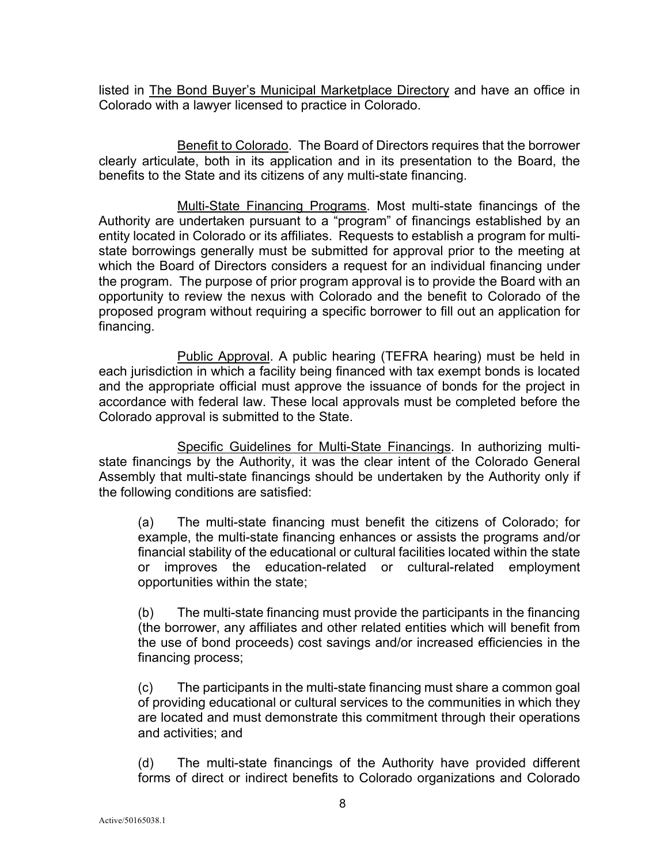listed in The Bond Buyer's Municipal Marketplace Directory and have an office in Colorado with a lawyer licensed to practice in Colorado.

Benefit to Colorado. The Board of Directors requires that the borrower clearly articulate, both in its application and in its presentation to the Board, the benefits to the State and its citizens of any multi-state financing.

Multi-State Financing Programs. Most multi-state financings of the Authority are undertaken pursuant to a "program" of financings established by an entity located in Colorado or its affiliates. Requests to establish a program for multistate borrowings generally must be submitted for approval prior to the meeting at which the Board of Directors considers a request for an individual financing under the program. The purpose of prior program approval is to provide the Board with an opportunity to review the nexus with Colorado and the benefit to Colorado of the proposed program without requiring a specific borrower to fill out an application for financing.

Public Approval. A public hearing (TEFRA hearing) must be held in each jurisdiction in which a facility being financed with tax exempt bonds is located and the appropriate official must approve the issuance of bonds for the project in accordance with federal law. These local approvals must be completed before the Colorado approval is submitted to the State.

Specific Guidelines for Multi-State Financings. In authorizing multistate financings by the Authority, it was the clear intent of the Colorado General Assembly that multi-state financings should be undertaken by the Authority only if the following conditions are satisfied:

(a) The multi-state financing must benefit the citizens of Colorado; for example, the multi-state financing enhances or assists the programs and/or financial stability of the educational or cultural facilities located within the state or improves the education-related or cultural-related employment opportunities within the state;

(b) The multi-state financing must provide the participants in the financing (the borrower, any affiliates and other related entities which will benefit from the use of bond proceeds) cost savings and/or increased efficiencies in the financing process;

(c) The participants in the multi-state financing must share a common goal of providing educational or cultural services to the communities in which they are located and must demonstrate this commitment through their operations and activities; and

(d) The multi-state financings of the Authority have provided different forms of direct or indirect benefits to Colorado organizations and Colorado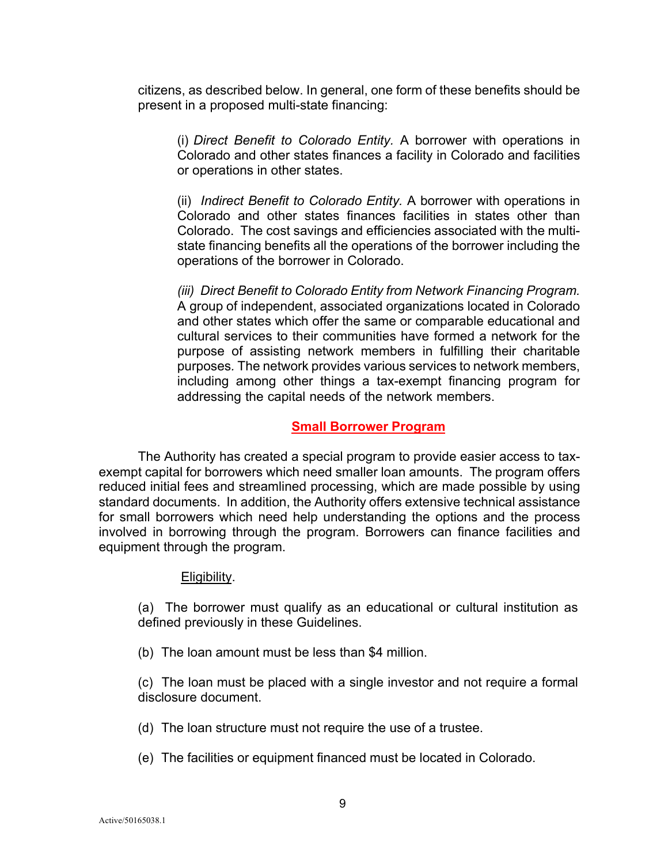citizens, as described below. In general, one form of these benefits should be present in a proposed multi-state financing:

(i) *Direct Benefit to Colorado Entity.* A borrower with operations in Colorado and other states finances a facility in Colorado and facilities or operations in other states.

(ii) *Indirect Benefit to Colorado Entity.* A borrower with operations in Colorado and other states finances facilities in states other than Colorado. The cost savings and efficiencies associated with the multistate financing benefits all the operations of the borrower including the operations of the borrower in Colorado.

*(iii) Direct Benefit to Colorado Entity from Network Financing Program.* A group of independent, associated organizations located in Colorado and other states which offer the same or comparable educational and cultural services to their communities have formed a network for the purpose of assisting network members in fulfilling their charitable purposes*.* The network provides various services to network members, including among other things a tax-exempt financing program for addressing the capital needs of the network members.

#### **Small Borrower Program**

The Authority has created a special program to provide easier access to taxexempt capital for borrowers which need smaller loan amounts. The program offers reduced initial fees and streamlined processing, which are made possible by using standard documents. In addition, the Authority offers extensive technical assistance for small borrowers which need help understanding the options and the process involved in borrowing through the program. Borrowers can finance facilities and equipment through the program.

#### Eligibility.

(a) The borrower must qualify as an educational or cultural institution as defined previously in these Guidelines.

(b) The loan amount must be less than \$4 million.

(c) The loan must be placed with a single investor and not require a formal disclosure document.

- (d) The loan structure must not require the use of a trustee.
- (e) The facilities or equipment financed must be located in Colorado.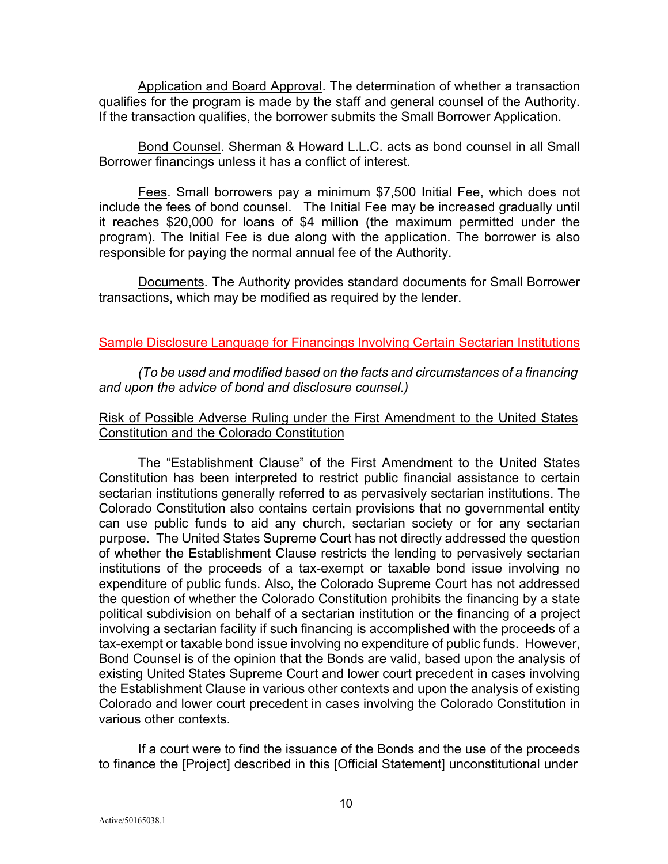Application and Board Approval. The determination of whether a transaction qualifies for the program is made by the staff and general counsel of the Authority. If the transaction qualifies, the borrower submits the Small Borrower Application.

Bond Counsel. Sherman & Howard L.L.C. acts as bond counsel in all Small Borrower financings unless it has a conflict of interest.

Fees. Small borrowers pay a minimum \$7,500 Initial Fee, which does not include the fees of bond counsel. The Initial Fee may be increased gradually until it reaches \$20,000 for loans of \$4 million (the maximum permitted under the program). The Initial Fee is due along with the application. The borrower is also responsible for paying the normal annual fee of the Authority.

Documents. The Authority provides standard documents for Small Borrower transactions, which may be modified as required by the lender.

### Sample Disclosure Language for Financings Involving Certain Sectarian Institutions

*(To be used and modified based on the facts and circumstances of a financing and upon the advice of bond and disclosure counsel.)*

## Risk of Possible Adverse Ruling under the First Amendment to the United States Constitution and the Colorado Constitution

The "Establishment Clause" of the First Amendment to the United States Constitution has been interpreted to restrict public financial assistance to certain sectarian institutions generally referred to as pervasively sectarian institutions. The Colorado Constitution also contains certain provisions that no governmental entity can use public funds to aid any church, sectarian society or for any sectarian purpose. The United States Supreme Court has not directly addressed the question of whether the Establishment Clause restricts the lending to pervasively sectarian institutions of the proceeds of a tax-exempt or taxable bond issue involving no expenditure of public funds. Also, the Colorado Supreme Court has not addressed the question of whether the Colorado Constitution prohibits the financing by a state political subdivision on behalf of a sectarian institution or the financing of a project involving a sectarian facility if such financing is accomplished with the proceeds of a tax-exempt or taxable bond issue involving no expenditure of public funds. However, Bond Counsel is of the opinion that the Bonds are valid, based upon the analysis of existing United States Supreme Court and lower court precedent in cases involving the Establishment Clause in various other contexts and upon the analysis of existing Colorado and lower court precedent in cases involving the Colorado Constitution in various other contexts.

If a court were to find the issuance of the Bonds and the use of the proceeds to finance the [Project] described in this [Official Statement] unconstitutional under